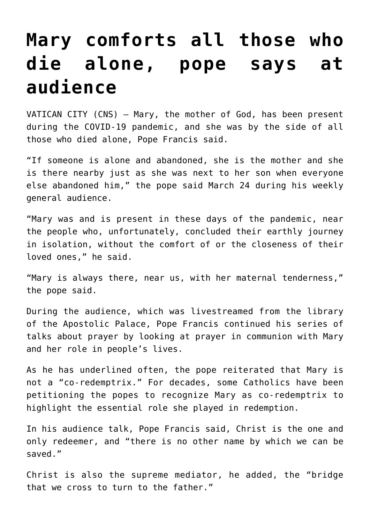## **[Mary comforts all those who](https://www.osvnews.com/2021/03/24/mary-comforts-all-those-who-die-alone-pope-says-at-audience/) [die alone, pope says at](https://www.osvnews.com/2021/03/24/mary-comforts-all-those-who-die-alone-pope-says-at-audience/) [audience](https://www.osvnews.com/2021/03/24/mary-comforts-all-those-who-die-alone-pope-says-at-audience/)**

VATICAN CITY (CNS) — Mary, the mother of God, has been present during the COVID-19 pandemic, and she was by the side of all those who died alone, Pope Francis said.

"If someone is alone and abandoned, she is the mother and she is there nearby just as she was next to her son when everyone else abandoned him," the pope said March 24 during his weekly general audience.

"Mary was and is present in these days of the pandemic, near the people who, unfortunately, concluded their earthly journey in isolation, without the comfort of or the closeness of their loved ones," he said.

"Mary is always there, near us, with her maternal tenderness," the pope said.

During the audience, which was livestreamed from the library of the Apostolic Palace, Pope Francis continued his series of talks about prayer by looking at prayer in communion with Mary and her role in people's lives.

As he has underlined often, the pope reiterated that Mary is not a "co-redemptrix." For decades, some Catholics have been petitioning the popes to recognize Mary as co-redemptrix to highlight the essential role she played in redemption.

In his audience talk, Pope Francis said, Christ is the one and only redeemer, and "there is no other name by which we can be saved."

Christ is also the supreme mediator, he added, the "bridge that we cross to turn to the father."